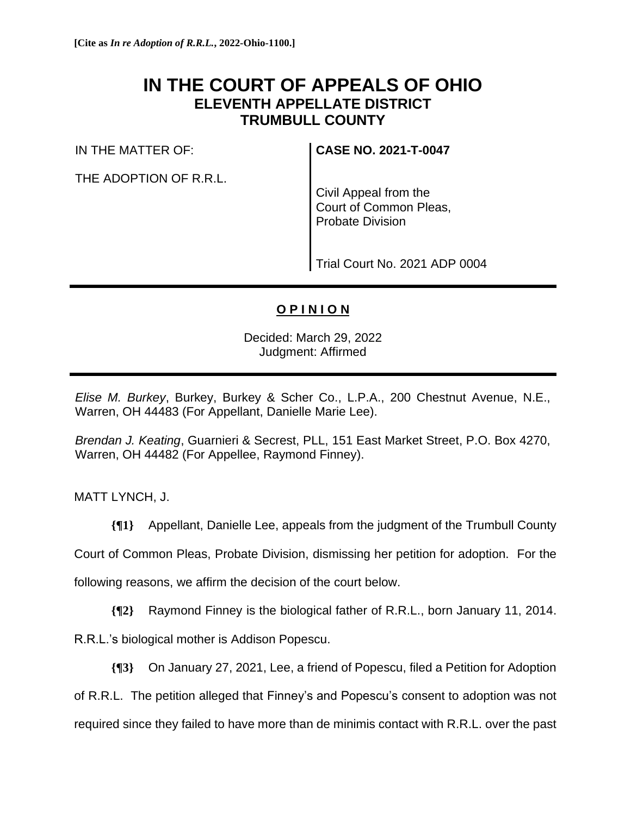## **IN THE COURT OF APPEALS OF OHIO ELEVENTH APPELLATE DISTRICT TRUMBULL COUNTY**

IN THE MATTER OF:

THE ADOPTION OF R.R.L.

**CASE NO. 2021-T-0047**

Civil Appeal from the Court of Common Pleas, Probate Division

Trial Court No. 2021 ADP 0004

## **O P I N I O N**

Decided: March 29, 2022 Judgment: Affirmed

*Elise M. Burkey*, Burkey, Burkey & Scher Co., L.P.A., 200 Chestnut Avenue, N.E., Warren, OH 44483 (For Appellant, Danielle Marie Lee).

*Brendan J. Keating*, Guarnieri & Secrest, PLL, 151 East Market Street, P.O. Box 4270, Warren, OH 44482 (For Appellee, Raymond Finney).

MATT LYNCH, J.

**{¶1}** Appellant, Danielle Lee, appeals from the judgment of the Trumbull County

Court of Common Pleas, Probate Division, dismissing her petition for adoption. For the

following reasons, we affirm the decision of the court below.

**{¶2}** Raymond Finney is the biological father of R.R.L., born January 11, 2014.

R.R.L.'s biological mother is Addison Popescu.

**{¶3}** On January 27, 2021, Lee, a friend of Popescu, filed a Petition for Adoption

of R.R.L. The petition alleged that Finney's and Popescu's consent to adoption was not

required since they failed to have more than de minimis contact with R.R.L. over the past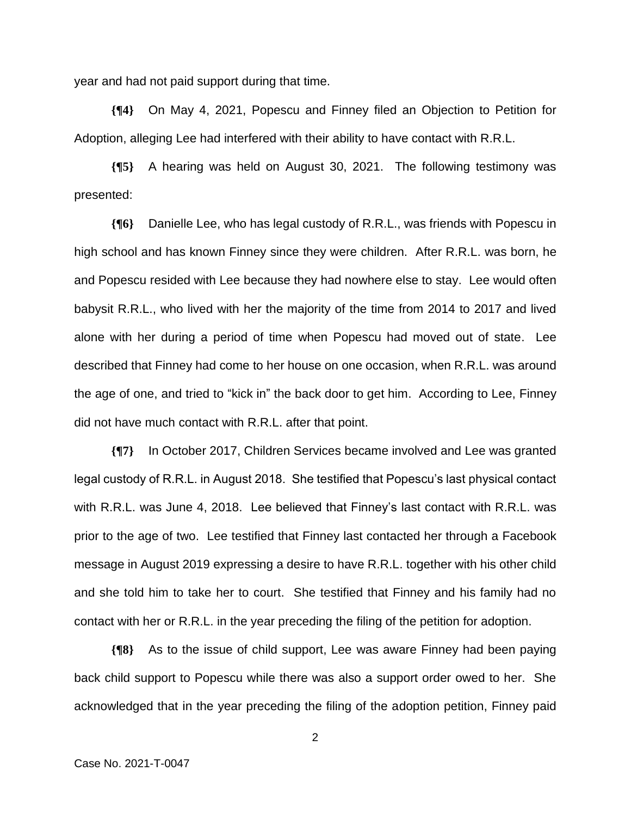year and had not paid support during that time.

**{¶4}** On May 4, 2021, Popescu and Finney filed an Objection to Petition for Adoption, alleging Lee had interfered with their ability to have contact with R.R.L.

**{¶5}** A hearing was held on August 30, 2021. The following testimony was presented:

**{¶6}** Danielle Lee, who has legal custody of R.R.L., was friends with Popescu in high school and has known Finney since they were children. After R.R.L. was born, he and Popescu resided with Lee because they had nowhere else to stay. Lee would often babysit R.R.L., who lived with her the majority of the time from 2014 to 2017 and lived alone with her during a period of time when Popescu had moved out of state. Lee described that Finney had come to her house on one occasion, when R.R.L. was around the age of one, and tried to "kick in" the back door to get him. According to Lee, Finney did not have much contact with R.R.L. after that point.

**{¶7}** In October 2017, Children Services became involved and Lee was granted legal custody of R.R.L. in August 2018. She testified that Popescu's last physical contact with R.R.L. was June 4, 2018. Lee believed that Finney's last contact with R.R.L. was prior to the age of two. Lee testified that Finney last contacted her through a Facebook message in August 2019 expressing a desire to have R.R.L. together with his other child and she told him to take her to court. She testified that Finney and his family had no contact with her or R.R.L. in the year preceding the filing of the petition for adoption.

**{¶8}** As to the issue of child support, Lee was aware Finney had been paying back child support to Popescu while there was also a support order owed to her. She acknowledged that in the year preceding the filing of the adoption petition, Finney paid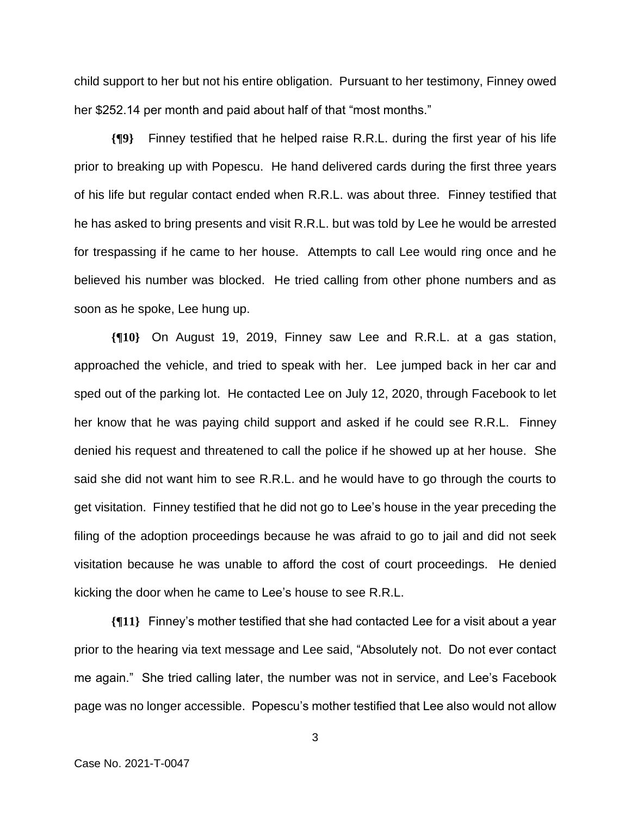child support to her but not his entire obligation. Pursuant to her testimony, Finney owed her \$252.14 per month and paid about half of that "most months."

**{¶9}** Finney testified that he helped raise R.R.L. during the first year of his life prior to breaking up with Popescu. He hand delivered cards during the first three years of his life but regular contact ended when R.R.L. was about three. Finney testified that he has asked to bring presents and visit R.R.L. but was told by Lee he would be arrested for trespassing if he came to her house. Attempts to call Lee would ring once and he believed his number was blocked. He tried calling from other phone numbers and as soon as he spoke, Lee hung up.

**{¶10}** On August 19, 2019, Finney saw Lee and R.R.L. at a gas station, approached the vehicle, and tried to speak with her. Lee jumped back in her car and sped out of the parking lot. He contacted Lee on July 12, 2020, through Facebook to let her know that he was paying child support and asked if he could see R.R.L. Finney denied his request and threatened to call the police if he showed up at her house. She said she did not want him to see R.R.L. and he would have to go through the courts to get visitation. Finney testified that he did not go to Lee's house in the year preceding the filing of the adoption proceedings because he was afraid to go to jail and did not seek visitation because he was unable to afford the cost of court proceedings. He denied kicking the door when he came to Lee's house to see R.R.L.

**{¶11}** Finney's mother testified that she had contacted Lee for a visit about a year prior to the hearing via text message and Lee said, "Absolutely not. Do not ever contact me again." She tried calling later, the number was not in service, and Lee's Facebook page was no longer accessible. Popescu's mother testified that Lee also would not allow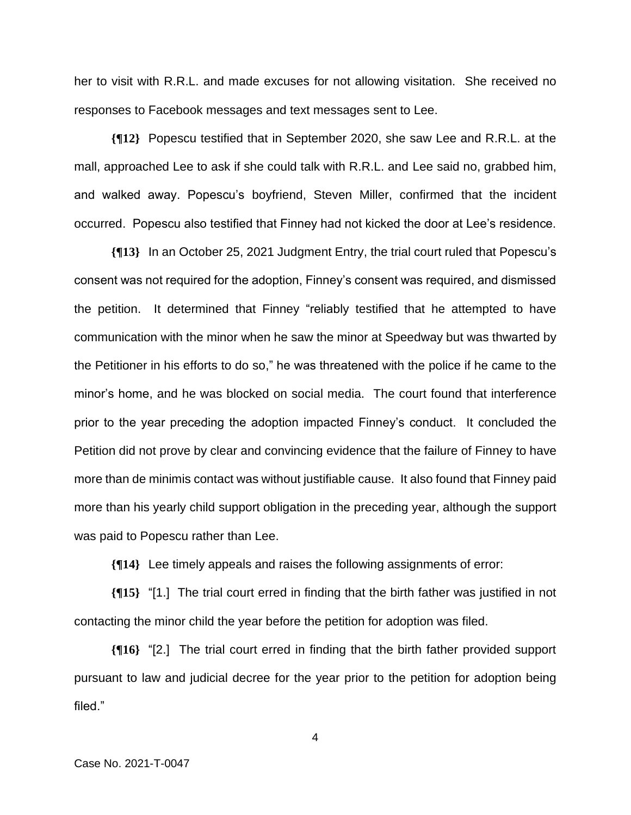her to visit with R.R.L. and made excuses for not allowing visitation. She received no responses to Facebook messages and text messages sent to Lee.

**{¶12}** Popescu testified that in September 2020, she saw Lee and R.R.L. at the mall, approached Lee to ask if she could talk with R.R.L. and Lee said no, grabbed him, and walked away. Popescu's boyfriend, Steven Miller, confirmed that the incident occurred. Popescu also testified that Finney had not kicked the door at Lee's residence.

**{¶13}** In an October 25, 2021 Judgment Entry, the trial court ruled that Popescu's consent was not required for the adoption, Finney's consent was required, and dismissed the petition. It determined that Finney "reliably testified that he attempted to have communication with the minor when he saw the minor at Speedway but was thwarted by the Petitioner in his efforts to do so," he was threatened with the police if he came to the minor's home, and he was blocked on social media. The court found that interference prior to the year preceding the adoption impacted Finney's conduct. It concluded the Petition did not prove by clear and convincing evidence that the failure of Finney to have more than de minimis contact was without justifiable cause. It also found that Finney paid more than his yearly child support obligation in the preceding year, although the support was paid to Popescu rather than Lee.

**{¶14}** Lee timely appeals and raises the following assignments of error:

**{¶15}** "[1.] The trial court erred in finding that the birth father was justified in not contacting the minor child the year before the petition for adoption was filed.

**{¶16}** "[2.] The trial court erred in finding that the birth father provided support pursuant to law and judicial decree for the year prior to the petition for adoption being filed."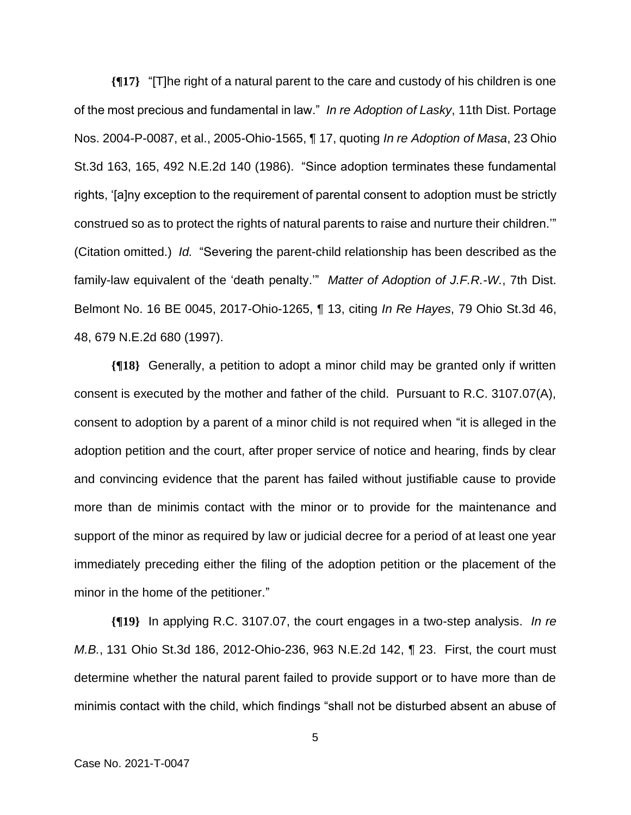**{¶17}** "[T]he right of a natural parent to the care and custody of his children is one of the most precious and fundamental in law." *In re Adoption of Lasky*, 11th Dist. Portage Nos. 2004-P-0087, et al., 2005-Ohio-1565, ¶ 17, quoting *In re Adoption of Masa*, 23 Ohio St.3d 163, 165, 492 N.E.2d 140 (1986). "Since adoption terminates these fundamental rights, '[a]ny exception to the requirement of parental consent to adoption must be strictly construed so as to protect the rights of natural parents to raise and nurture their children.'" (Citation omitted.) *Id.* "Severing the parent-child relationship has been described as the family-law equivalent of the 'death penalty.'" *Matter of Adoption of J.F.R.-W.*, 7th Dist. Belmont No. 16 BE 0045, 2017-Ohio-1265, ¶ 13, citing *In Re Hayes*, 79 Ohio St.3d 46, 48, 679 N.E.2d 680 (1997).

**{¶18}** Generally, a petition to adopt a minor child may be granted only if written consent is executed by the mother and father of the child. Pursuant to R.C. 3107.07(A), consent to adoption by a parent of a minor child is not required when "it is alleged in the adoption petition and the court, after proper service of notice and hearing, finds by clear and convincing evidence that the parent has failed without justifiable cause to provide more than de minimis contact with the minor or to provide for the maintenance and support of the minor as required by law or judicial decree for a period of at least one year immediately preceding either the filing of the adoption petition or the placement of the minor in the home of the petitioner."

**{¶19}** In applying R.C. 3107.07, the court engages in a two-step analysis. *In re M.B.*, 131 Ohio St.3d 186, 2012-Ohio-236, 963 N.E.2d 142, ¶ 23. First, the court must determine whether the natural parent failed to provide support or to have more than de minimis contact with the child, which findings "shall not be disturbed absent an abuse of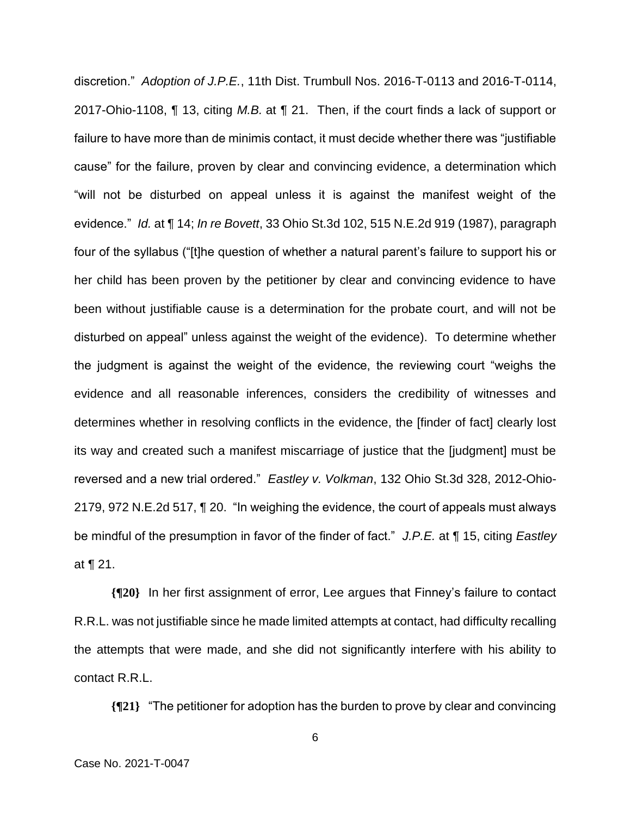discretion." *Adoption of J.P.E.*, 11th Dist. Trumbull Nos. 2016-T-0113 and 2016-T-0114, 2017-Ohio-1108, ¶ 13, citing *M.B.* at ¶ 21. Then, if the court finds a lack of support or failure to have more than de minimis contact, it must decide whether there was "justifiable cause" for the failure, proven by clear and convincing evidence, a determination which "will not be disturbed on appeal unless it is against the manifest weight of the evidence." *Id.* at ¶ 14; *In re Bovett*, 33 Ohio St.3d 102, 515 N.E.2d 919 (1987), paragraph four of the syllabus ("[t]he question of whether a natural parent's failure to support his or her child has been proven by the petitioner by clear and convincing evidence to have been without justifiable cause is a determination for the probate court, and will not be disturbed on appeal" unless against the weight of the evidence). To determine whether the judgment is against the weight of the evidence, the reviewing court "weighs the evidence and all reasonable inferences, considers the credibility of witnesses and determines whether in resolving conflicts in the evidence, the [finder of fact] clearly lost its way and created such a manifest miscarriage of justice that the [judgment] must be reversed and a new trial ordered." *Eastley v. Volkman*, 132 Ohio St.3d 328, 2012-Ohio-2179, 972 N.E.2d 517, ¶ 20. "In weighing the evidence, the court of appeals must always be mindful of the presumption in favor of the finder of fact." *J.P.E.* at ¶ 15, citing *Eastley*  at ¶ 21.

**{¶20}** In her first assignment of error, Lee argues that Finney's failure to contact R.R.L. was not justifiable since he made limited attempts at contact, had difficulty recalling the attempts that were made, and she did not significantly interfere with his ability to contact R.R.L.

**{¶21}** "The petitioner for adoption has the burden to prove by clear and convincing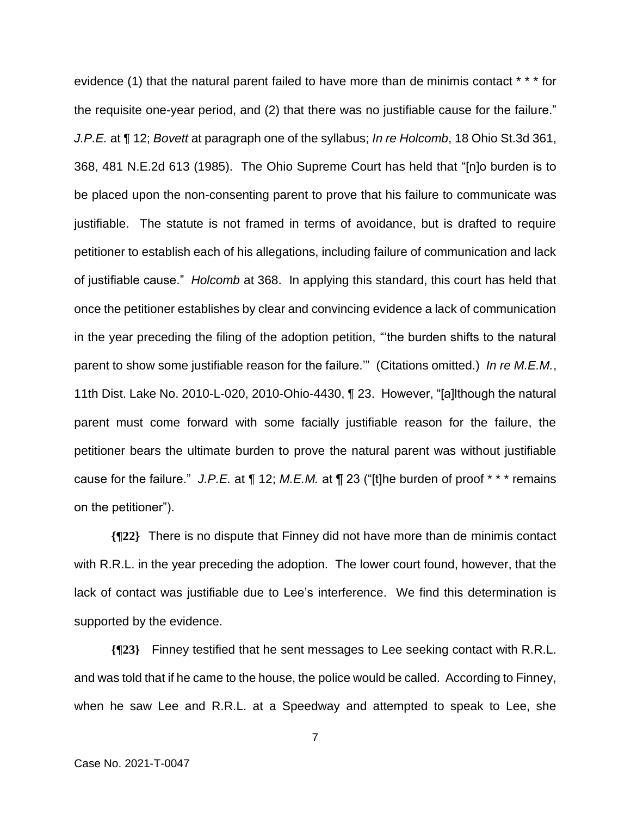evidence (1) that the natural parent failed to have more than de minimis contact \* \* \* for the requisite one-year period, and (2) that there was no justifiable cause for the failure." *J.P.E.* at ¶ 12; *Bovett* at paragraph one of the syllabus; *In re Holcomb*, 18 Ohio St.3d 361, 368, 481 N.E.2d 613 (1985). The Ohio Supreme Court has held that "[n]o burden is to be placed upon the non-consenting parent to prove that his failure to communicate was justifiable. The statute is not framed in terms of avoidance, but is drafted to require petitioner to establish each of his allegations, including failure of communication and lack of justifiable cause." *Holcomb* at 368. In applying this standard, this court has held that once the petitioner establishes by clear and convincing evidence a lack of communication in the year preceding the filing of the adoption petition, "'the burden shifts to the natural parent to show some justifiable reason for the failure.'" (Citations omitted.) *In re M.E.M.*, 11th Dist. Lake No. 2010-L-020, 2010-Ohio-4430, ¶ 23. However, "[a]lthough the natural parent must come forward with some facially justifiable reason for the failure, the petitioner bears the ultimate burden to prove the natural parent was without justifiable cause for the failure." *J.P.E.* at ¶ 12; *M.E.M.* at ¶ 23 ("[t]he burden of proof \* \* \* remains on the petitioner").

**{¶22}** There is no dispute that Finney did not have more than de minimis contact with R.R.L. in the year preceding the adoption. The lower court found, however, that the lack of contact was justifiable due to Lee's interference. We find this determination is supported by the evidence.

**{¶23}** Finney testified that he sent messages to Lee seeking contact with R.R.L. and was told that if he came to the house, the police would be called. According to Finney, when he saw Lee and R.R.L. at a Speedway and attempted to speak to Lee, she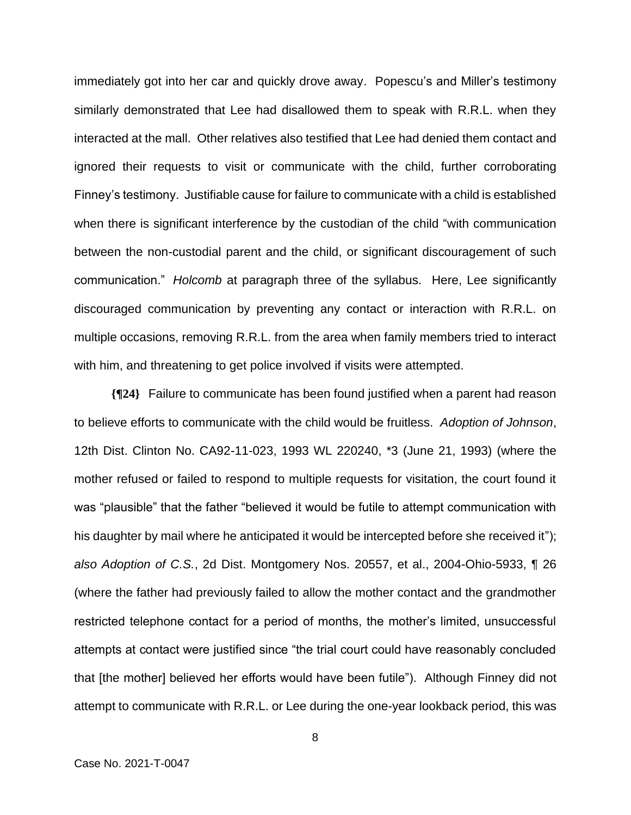immediately got into her car and quickly drove away. Popescu's and Miller's testimony similarly demonstrated that Lee had disallowed them to speak with R.R.L. when they interacted at the mall. Other relatives also testified that Lee had denied them contact and ignored their requests to visit or communicate with the child, further corroborating Finney's testimony. Justifiable cause for failure to communicate with a child is established when there is significant interference by the custodian of the child "with communication between the non-custodial parent and the child, or significant discouragement of such communication." *Holcomb* at paragraph three of the syllabus. Here, Lee significantly discouraged communication by preventing any contact or interaction with R.R.L. on multiple occasions, removing R.R.L. from the area when family members tried to interact with him, and threatening to get police involved if visits were attempted.

**{¶24}** Failure to communicate has been found justified when a parent had reason to believe efforts to communicate with the child would be fruitless. *Adoption of Johnson*, 12th Dist. Clinton No. CA92-11-023, 1993 WL 220240, \*3 (June 21, 1993) (where the mother refused or failed to respond to multiple requests for visitation, the court found it was "plausible" that the father "believed it would be futile to attempt communication with his daughter by mail where he anticipated it would be intercepted before she received it"); *also Adoption of C.S.*, 2d Dist. Montgomery Nos. 20557, et al., 2004-Ohio-5933, ¶ 26 (where the father had previously failed to allow the mother contact and the grandmother restricted telephone contact for a period of months, the mother's limited, unsuccessful attempts at contact were justified since "the trial court could have reasonably concluded that [the mother] believed her efforts would have been futile"). Although Finney did not attempt to communicate with R.R.L. or Lee during the one-year lookback period, this was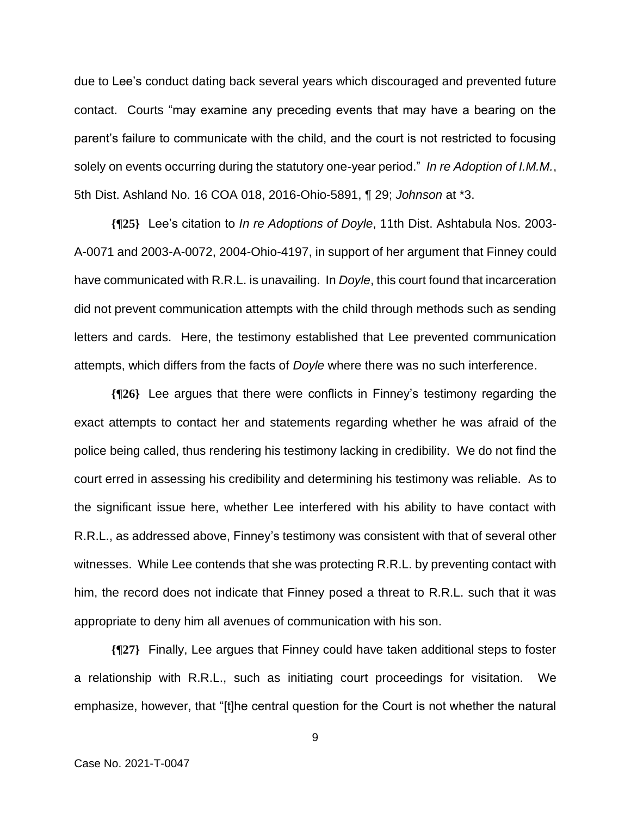due to Lee's conduct dating back several years which discouraged and prevented future contact. Courts "may examine any preceding events that may have a bearing on the parent's failure to communicate with the child, and the court is not restricted to focusing solely on events occurring during the statutory one-year period." *In re Adoption of I.M.M.*, 5th Dist. Ashland No. 16 COA 018, 2016-Ohio-5891, ¶ 29; *Johnson* at \*3.

**{¶25}** Lee's citation to *In re Adoptions of Doyle*, 11th Dist. Ashtabula Nos. 2003- A-0071 and 2003-A-0072, 2004-Ohio-4197, in support of her argument that Finney could have communicated with R.R.L. is unavailing. In *Doyle*, this court found that incarceration did not prevent communication attempts with the child through methods such as sending letters and cards. Here, the testimony established that Lee prevented communication attempts, which differs from the facts of *Doyle* where there was no such interference.

**{¶26}** Lee argues that there were conflicts in Finney's testimony regarding the exact attempts to contact her and statements regarding whether he was afraid of the police being called, thus rendering his testimony lacking in credibility. We do not find the court erred in assessing his credibility and determining his testimony was reliable. As to the significant issue here, whether Lee interfered with his ability to have contact with R.R.L., as addressed above, Finney's testimony was consistent with that of several other witnesses. While Lee contends that she was protecting R.R.L. by preventing contact with him, the record does not indicate that Finney posed a threat to R.R.L. such that it was appropriate to deny him all avenues of communication with his son.

**{¶27}** Finally, Lee argues that Finney could have taken additional steps to foster a relationship with R.R.L., such as initiating court proceedings for visitation. We emphasize, however, that "[t]he central question for the Court is not whether the natural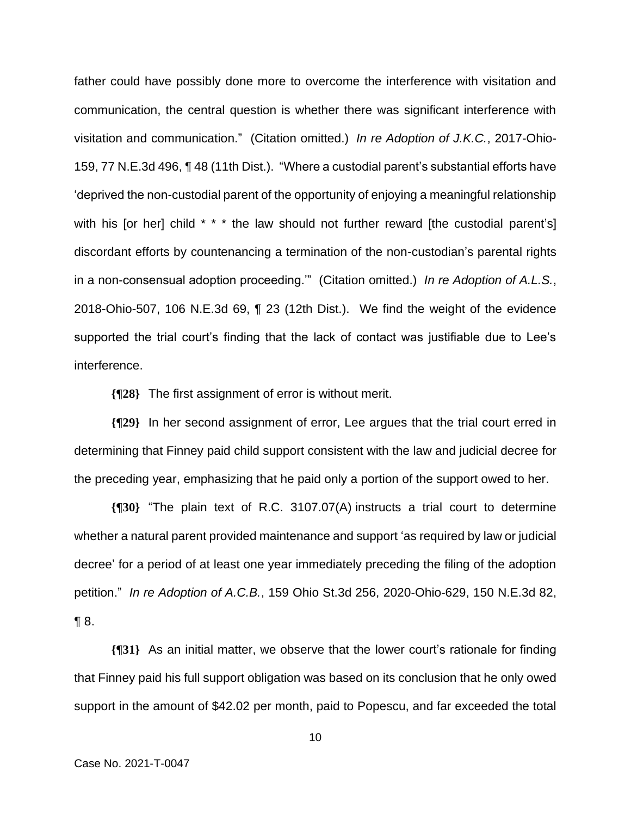father could have possibly done more to overcome the interference with visitation and communication, the central question is whether there was significant interference with visitation and communication." (Citation omitted.) *In re Adoption of J.K.C.*, 2017-Ohio-159, 77 N.E.3d 496, ¶ 48 (11th Dist.). "Where a custodial parent's substantial efforts have 'deprived the non-custodial parent of the opportunity of enjoying a meaningful relationship with his [or her] child \* \* \* the law should not further reward [the custodial parent's] discordant efforts by countenancing a termination of the non-custodian's parental rights in a non-consensual adoption proceeding.'" (Citation omitted.) *In re Adoption of A.L.S.*, 2018-Ohio-507, 106 N.E.3d 69, ¶ 23 (12th Dist.). We find the weight of the evidence supported the trial court's finding that the lack of contact was justifiable due to Lee's interference.

**{¶28}** The first assignment of error is without merit.

**{¶29}** In her second assignment of error, Lee argues that the trial court erred in determining that Finney paid child support consistent with the law and judicial decree for the preceding year, emphasizing that he paid only a portion of the support owed to her.

**{¶30}** "The plain text of R.C. 3107.07(A) instructs a trial court to determine whether a natural parent provided maintenance and support 'as required by law or judicial decree' for a period of at least one year immediately preceding the filing of the adoption petition." *In re Adoption of A.C.B.*, 159 Ohio St.3d 256, 2020-Ohio-629, 150 N.E.3d 82, ¶ 8.

**{¶31}** As an initial matter, we observe that the lower court's rationale for finding that Finney paid his full support obligation was based on its conclusion that he only owed support in the amount of \$42.02 per month, paid to Popescu, and far exceeded the total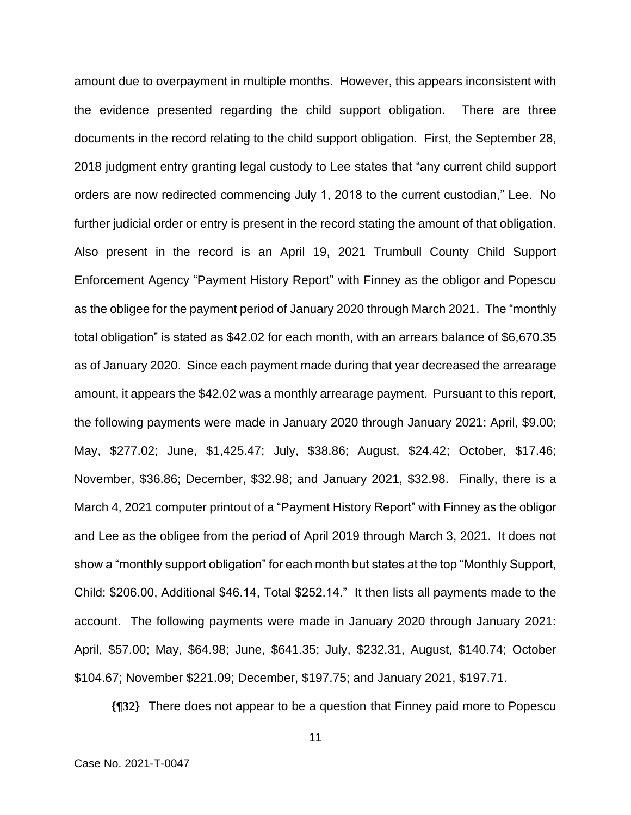amount due to overpayment in multiple months. However, this appears inconsistent with the evidence presented regarding the child support obligation. There are three documents in the record relating to the child support obligation. First, the September 28, 2018 judgment entry granting legal custody to Lee states that "any current child support orders are now redirected commencing July 1, 2018 to the current custodian," Lee. No further judicial order or entry is present in the record stating the amount of that obligation. Also present in the record is an April 19, 2021 Trumbull County Child Support Enforcement Agency "Payment History Report" with Finney as the obligor and Popescu as the obligee for the payment period of January 2020 through March 2021. The "monthly total obligation" is stated as \$42.02 for each month, with an arrears balance of \$6,670.35 as of January 2020. Since each payment made during that year decreased the arrearage amount, it appears the \$42.02 was a monthly arrearage payment. Pursuant to this report, the following payments were made in January 2020 through January 2021: April, \$9.00; May, \$277.02; June, \$1,425.47; July, \$38.86; August, \$24.42; October, \$17.46; November, \$36.86; December, \$32.98; and January 2021, \$32.98. Finally, there is a March 4, 2021 computer printout of a "Payment History Report" with Finney as the obligor and Lee as the obligee from the period of April 2019 through March 3, 2021. It does not show a "monthly support obligation" for each month but states at the top "Monthly Support, Child: \$206.00, Additional \$46.14, Total \$252.14." It then lists all payments made to the account. The following payments were made in January 2020 through January 2021: April, \$57.00; May, \$64.98; June, \$641.35; July, \$232.31, August, \$140.74; October \$104.67; November \$221.09; December, \$197.75; and January 2021, \$197.71.

**{¶32}** There does not appear to be a question that Finney paid more to Popescu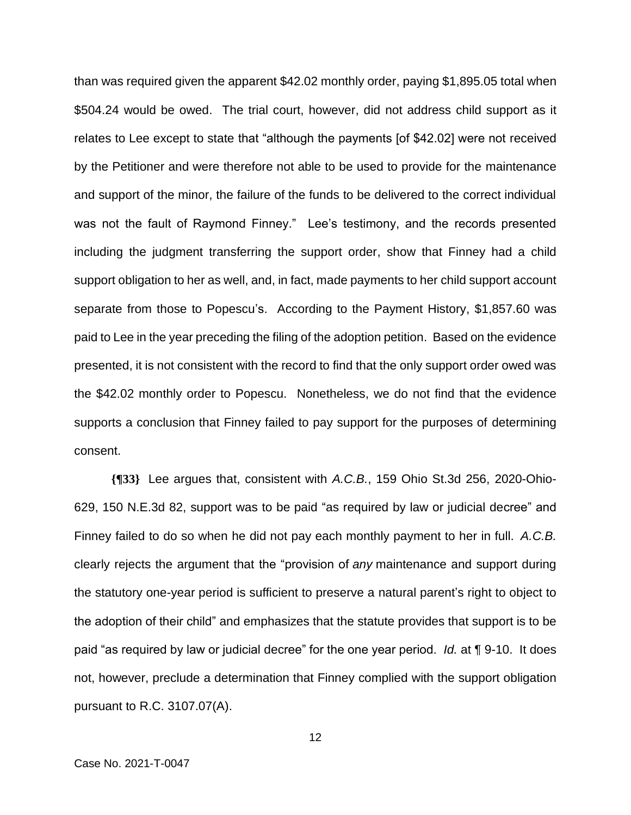than was required given the apparent \$42.02 monthly order, paying \$1,895.05 total when \$504.24 would be owed. The trial court, however, did not address child support as it relates to Lee except to state that "although the payments [of \$42.02] were not received by the Petitioner and were therefore not able to be used to provide for the maintenance and support of the minor, the failure of the funds to be delivered to the correct individual was not the fault of Raymond Finney." Lee's testimony, and the records presented including the judgment transferring the support order, show that Finney had a child support obligation to her as well, and, in fact, made payments to her child support account separate from those to Popescu's. According to the Payment History, \$1,857.60 was paid to Lee in the year preceding the filing of the adoption petition. Based on the evidence presented, it is not consistent with the record to find that the only support order owed was the \$42.02 monthly order to Popescu. Nonetheless, we do not find that the evidence supports a conclusion that Finney failed to pay support for the purposes of determining consent.

**{¶33}** Lee argues that, consistent with *A.C.B.*, 159 Ohio St.3d 256, 2020-Ohio-629, 150 N.E.3d 82, support was to be paid "as required by law or judicial decree" and Finney failed to do so when he did not pay each monthly payment to her in full. *A.C.B.* clearly rejects the argument that the "provision of *any* maintenance and support during the statutory one-year period is sufficient to preserve a natural parent's right to object to the adoption of their child" and emphasizes that the statute provides that support is to be paid "as required by law or judicial decree" for the one year period. *Id.* at ¶ 9-10. It does not, however, preclude a determination that Finney complied with the support obligation pursuant to R.C. 3107.07(A).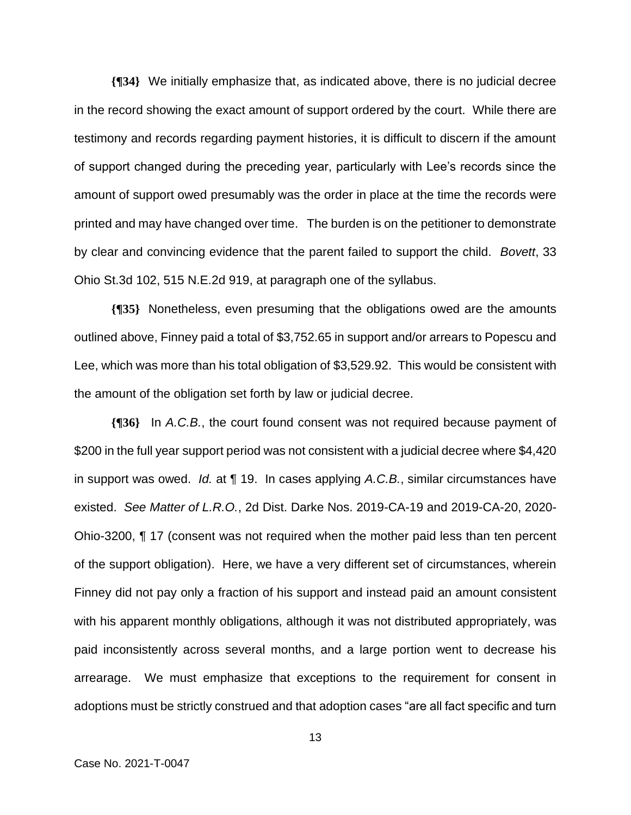**{¶34}** We initially emphasize that, as indicated above, there is no judicial decree in the record showing the exact amount of support ordered by the court. While there are testimony and records regarding payment histories, it is difficult to discern if the amount of support changed during the preceding year, particularly with Lee's records since the amount of support owed presumably was the order in place at the time the records were printed and may have changed over time. The burden is on the petitioner to demonstrate by clear and convincing evidence that the parent failed to support the child. *Bovett*, 33 Ohio St.3d 102, 515 N.E.2d 919, at paragraph one of the syllabus.

**{¶35}** Nonetheless, even presuming that the obligations owed are the amounts outlined above, Finney paid a total of \$3,752.65 in support and/or arrears to Popescu and Lee, which was more than his total obligation of \$3,529.92. This would be consistent with the amount of the obligation set forth by law or judicial decree.

**{¶36}** In *A.C.B.*, the court found consent was not required because payment of \$200 in the full year support period was not consistent with a judicial decree where \$4,420 in support was owed. *Id.* at ¶ 19. In cases applying *A.C.B.*, similar circumstances have existed. *See Matter of L.R.O.*, 2d Dist. Darke Nos. 2019-CA-19 and 2019-CA-20, 2020- Ohio-3200, ¶ 17 (consent was not required when the mother paid less than ten percent of the support obligation). Here, we have a very different set of circumstances, wherein Finney did not pay only a fraction of his support and instead paid an amount consistent with his apparent monthly obligations, although it was not distributed appropriately, was paid inconsistently across several months, and a large portion went to decrease his arrearage. We must emphasize that exceptions to the requirement for consent in adoptions must be strictly construed and that adoption cases "are all fact specific and turn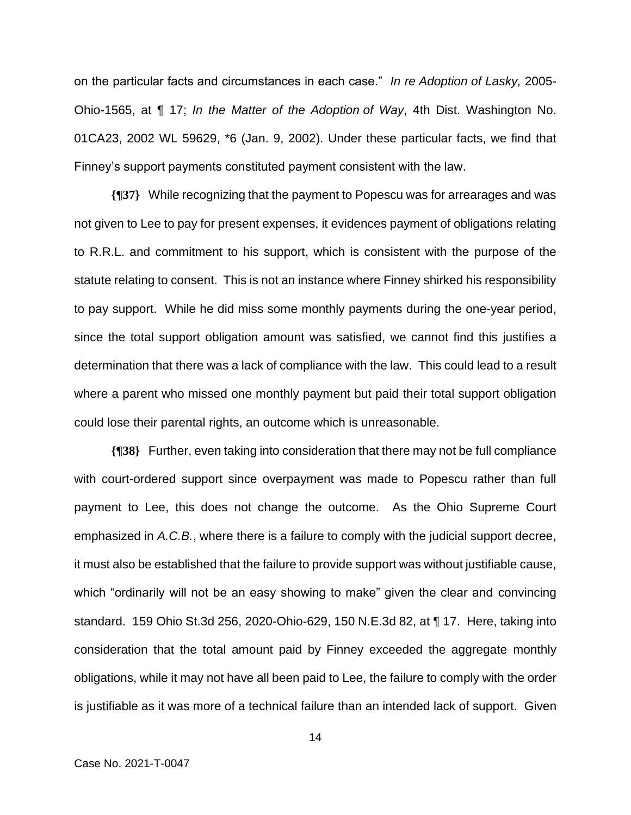on the particular facts and circumstances in each case." *In re Adoption of Lasky,* 2005- Ohio-1565, at ¶ 17; *In the Matter of the Adoption of Way*, 4th Dist. Washington No. 01CA23, 2002 WL 59629, \*6 (Jan. 9, 2002). Under these particular facts, we find that Finney's support payments constituted payment consistent with the law.

**{¶37}** While recognizing that the payment to Popescu was for arrearages and was not given to Lee to pay for present expenses, it evidences payment of obligations relating to R.R.L. and commitment to his support, which is consistent with the purpose of the statute relating to consent. This is not an instance where Finney shirked his responsibility to pay support. While he did miss some monthly payments during the one-year period, since the total support obligation amount was satisfied, we cannot find this justifies a determination that there was a lack of compliance with the law. This could lead to a result where a parent who missed one monthly payment but paid their total support obligation could lose their parental rights, an outcome which is unreasonable.

**{¶38}** Further, even taking into consideration that there may not be full compliance with court-ordered support since overpayment was made to Popescu rather than full payment to Lee, this does not change the outcome. As the Ohio Supreme Court emphasized in *A.C.B.*, where there is a failure to comply with the judicial support decree, it must also be established that the failure to provide support was without justifiable cause, which "ordinarily will not be an easy showing to make" given the clear and convincing standard. 159 Ohio St.3d 256, 2020-Ohio-629, 150 N.E.3d 82, at ¶ 17. Here, taking into consideration that the total amount paid by Finney exceeded the aggregate monthly obligations, while it may not have all been paid to Lee, the failure to comply with the order is justifiable as it was more of a technical failure than an intended lack of support. Given